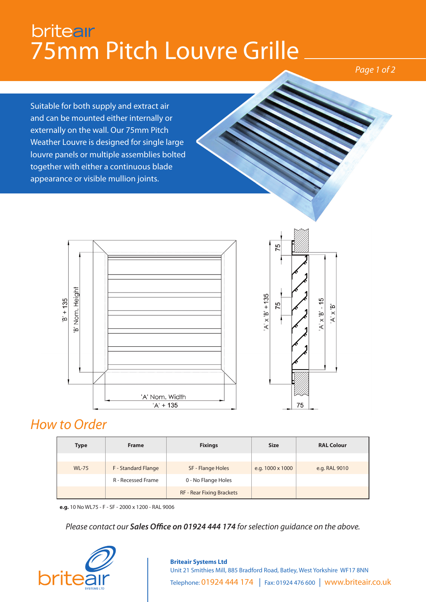## **briteair** 75mm Pitch Louvre Grille

### *Page 1 of 2*

Suitable for both supply and extract air and can be mounted either internally or externally on the wall. Our 75mm Pitch Weather Louvre is designed for single large louvre panels or multiple assemblies bolted together with either a continuous blade appearance or visible mullion joints.





## *How to Order*

| <b>Type</b>  | <b>Frame</b>              | <b>Fixings</b>                   | <b>Size</b>      | <b>RAL Colour</b> |
|--------------|---------------------------|----------------------------------|------------------|-------------------|
|              |                           |                                  |                  |                   |
| <b>WL-75</b> | F - Standard Flange       | SF - Flange Holes                | e.g. 1000 x 1000 | e.g. RAL 9010     |
|              | <b>R</b> - Recessed Frame | 0 - No Flange Holes              |                  |                   |
|              |                           | <b>RF - Rear Fixing Brackets</b> |                  |                   |

**e.g.** 10 No WL75 - F - SF - 2000 x 1200 - RAL 9006

*Please contact our Sales Office on 01924 444 174 for selection guidance on the above.*



#### **Briteair Systems Ltd** Unit 21 Smithies Mill, 885 Bradford Road, Batley, West Yorkshire WF17 8NN Telephone: 01924 444 174 | Fax: 01924 476 600 | www.briteair.co.uk